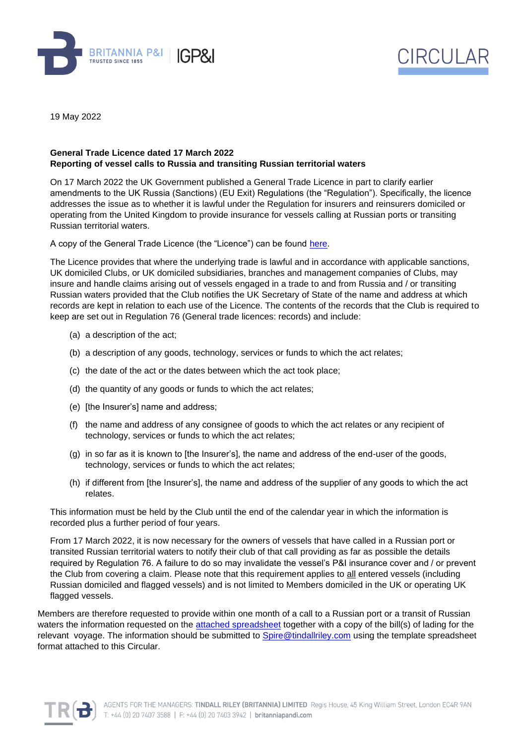



19 May 2022

## **General Trade Licence dated 17 March 2022 Reporting of vessel calls to Russia and transiting Russian territorial waters**

On 17 March 2022 the UK Government published a General Trade Licence in part to clarify earlier amendments to the UK Russia (Sanctions) (EU Exit) Regulations (the "Regulation"). Specifically, the licence addresses the issue as to whether it is lawful under the Regulation for insurers and reinsurers domiciled or operating from the United Kingdom to provide insurance for vessels calling at Russian ports or transiting Russian territorial waters.

A copy of the General Trade Licence (the "Licence") can be found [here.](https://assets.publishing.service.gov.uk/government/uploads/system/uploads/attachment_data/file/1067674/general-trade-licence-russia-sanctions-vessels.pdf)

The Licence provides that where the underlying trade is lawful and in accordance with applicable sanctions, UK domiciled Clubs, or UK domiciled subsidiaries, branches and management companies of Clubs, may insure and handle claims arising out of vessels engaged in a trade to and from Russia and / or transiting Russian waters provided that the Club notifies the UK Secretary of State of the name and address at which records are kept in relation to each use of the Licence. The contents of the records that the Club is required to keep are set out in Regulation 76 (General trade licences: records) and include:

- (a) a description of the act;
- (b) a description of any goods, technology, services or funds to which the act relates;
- (c) the date of the act or the dates between which the act took place;
- (d) the quantity of any goods or funds to which the act relates;
- (e) [the Insurer's] name and address;
- (f) the name and address of any consignee of goods to which the act relates or any recipient of technology, services or funds to which the act relates;
- (g) in so far as it is known to [the Insurer's], the name and address of the end-user of the goods, technology, services or funds to which the act relates;
- (h) if different from [the Insurer's], the name and address of the supplier of any goods to which the act relates.

This information must be held by the Club until the end of the calendar year in which the information is recorded plus a further period of four years.

From 17 March 2022, it is now necessary for the owners of vessels that have called in a Russian port or transited Russian territorial waters to notify their club of that call providing as far as possible the details required by Regulation 76. A failure to do so may invalidate the vessel's P&I insurance cover and / or prevent the Club from covering a claim. Please note that this requirement applies to all entered vessels (including Russian domiciled and flagged vessels) and is not limited to Members domiciled in the UK or operating UK flagged vessels.

Members are therefore requested to provide within one month of a call to a Russian port or a transit of Russian waters the information requested on the [attached spreadsheet](https://britanniapandi.com/wp-content/uploads/2022/05/SPIRE-reporting-template-vessel-calls-to-Russia.xlsx) together with a copy of the bill(s) of lading for the relevant voyage. The information should be submitted to [Spire@tindallriley.com](mailto:Spire@tindallriley.com) using the template spreadsheet format attached to this Circular.